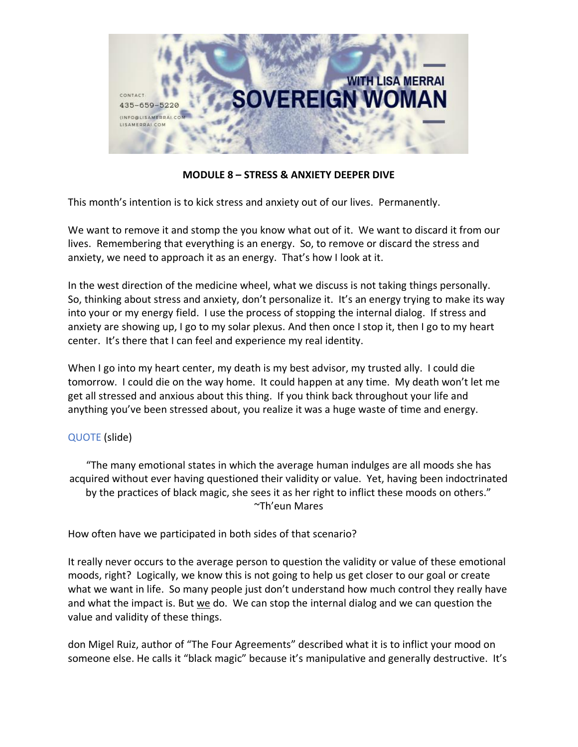

**MODULE 8 – STRESS & ANXIETY DEEPER DIVE**

This month's intention is to kick stress and anxiety out of our lives. Permanently.

We want to remove it and stomp the you know what out of it. We want to discard it from our lives. Remembering that everything is an energy. So, to remove or discard the stress and anxiety, we need to approach it as an energy. That's how I look at it.

In the west direction of the medicine wheel, what we discuss is not taking things personally. So, thinking about stress and anxiety, don't personalize it. It's an energy trying to make its way into your or my energy field. I use the process of stopping the internal dialog. If stress and anxiety are showing up, I go to my solar plexus. And then once I stop it, then I go to my heart center. It's there that I can feel and experience my real identity.

When I go into my heart center, my death is my best advisor, my trusted ally. I could die tomorrow. I could die on the way home. It could happen at any time. My death won't let me get all stressed and anxious about this thing. If you think back throughout your life and anything you've been stressed about, you realize it was a huge waste of time and energy.

# QUOTE (slide)

"The many emotional states in which the average human indulges are all moods she has acquired without ever having questioned their validity or value. Yet, having been indoctrinated by the practices of black magic, she sees it as her right to inflict these moods on others." ~Th'eun Mares

How often have we participated in both sides of that scenario?

It really never occurs to the average person to question the validity or value of these emotional moods, right? Logically, we know this is not going to help us get closer to our goal or create what we want in life. So many people just don't understand how much control they really have and what the impact is. But  $we$  do. We can stop the internal dialog and we can question the</u> value and validity of these things.

don Migel Ruiz, author of "The Four Agreements" described what it is to inflict your mood on someone else. He calls it "black magic" because it's manipulative and generally destructive. It's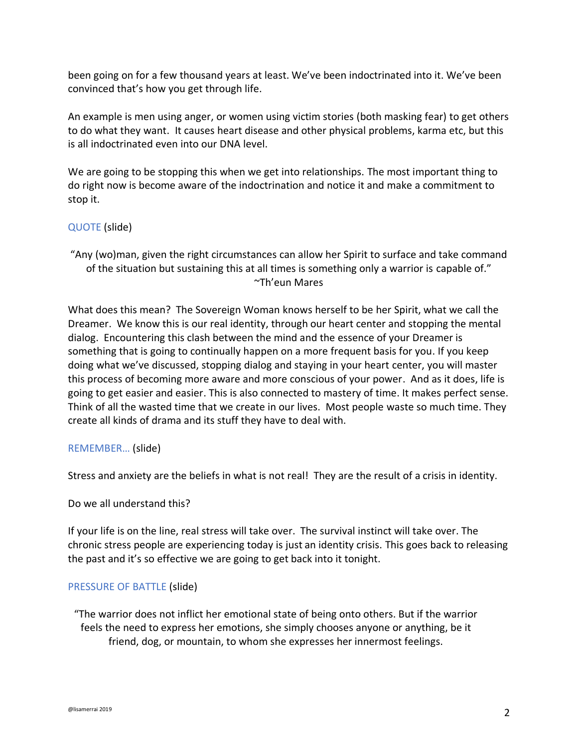been going on for a few thousand years at least. We've been indoctrinated into it. We've been convinced that's how you get through life.

An example is men using anger, or women using victim stories (both masking fear) to get others to do what they want. It causes heart disease and other physical problems, karma etc, but this is all indoctrinated even into our DNA level.

We are going to be stopping this when we get into relationships. The most important thing to do right now is become aware of the indoctrination and notice it and make a commitment to stop it.

### QUOTE (slide)

"Any (wo)man, given the right circumstances can allow her Spirit to surface and take command of the situation but sustaining this at all times is something only a warrior is capable of." ~Th'eun Mares

What does this mean? The Sovereign Woman knows herself to be her Spirit, what we call the Dreamer. We know this is our real identity, through our heart center and stopping the mental dialog. Encountering this clash between the mind and the essence of your Dreamer is something that is going to continually happen on a more frequent basis for you. If you keep doing what we've discussed, stopping dialog and staying in your heart center, you will master this process of becoming more aware and more conscious of your power. And as it does, life is going to get easier and easier. This is also connected to mastery of time. It makes perfect sense. Think of all the wasted time that we create in our lives. Most people waste so much time. They create all kinds of drama and its stuff they have to deal with.

#### REMEMBER… (slide)

Stress and anxiety are the beliefs in what is not real! They are the result of a crisis in identity.

#### Do we all understand this?

If your life is on the line, real stress will take over. The survival instinct will take over. The chronic stress people are experiencing today is just an identity crisis. This goes back to releasing the past and it's so effective we are going to get back into it tonight.

#### PRESSURE OF BATTLE (slide)

"The warrior does not inflict her emotional state of being onto others. But if the warrior feels the need to express her emotions, she simply chooses anyone or anything, be it friend, dog, or mountain, to whom she expresses her innermost feelings.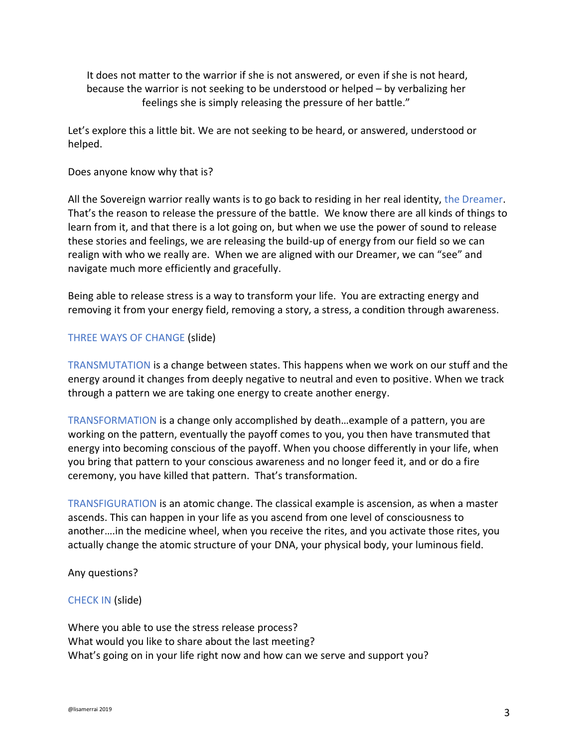It does not matter to the warrior if she is not answered, or even if she is not heard, because the warrior is not seeking to be understood or helped – by verbalizing her feelings she is simply releasing the pressure of her battle."

Let's explore this a little bit. We are not seeking to be heard, or answered, understood or helped.

Does anyone know why that is?

All the Sovereign warrior really wants is to go back to residing in her real identity, the Dreamer. That's the reason to release the pressure of the battle. We know there are all kinds of things to learn from it, and that there is a lot going on, but when we use the power of sound to release these stories and feelings, we are releasing the build-up of energy from our field so we can realign with who we really are. When we are aligned with our Dreamer, we can "see" and navigate much more efficiently and gracefully.

Being able to release stress is a way to transform your life. You are extracting energy and removing it from your energy field, removing a story, a stress, a condition through awareness.

## THREE WAYS OF CHANGE (slide)

TRANSMUTATION is a change between states. This happens when we work on our stuff and the energy around it changes from deeply negative to neutral and even to positive. When we track through a pattern we are taking one energy to create another energy.

TRANSFORMATION is a change only accomplished by death…example of a pattern, you are working on the pattern, eventually the payoff comes to you, you then have transmuted that energy into becoming conscious of the payoff. When you choose differently in your life, when you bring that pattern to your conscious awareness and no longer feed it, and or do a fire ceremony, you have killed that pattern. That's transformation.

TRANSFIGURATION is an atomic change. The classical example is ascension, as when a master ascends. This can happen in your life as you ascend from one level of consciousness to another….in the medicine wheel, when you receive the rites, and you activate those rites, you actually change the atomic structure of your DNA, your physical body, your luminous field.

Any questions?

#### CHECK IN (slide)

Where you able to use the stress release process? What would you like to share about the last meeting? What's going on in your life right now and how can we serve and support you?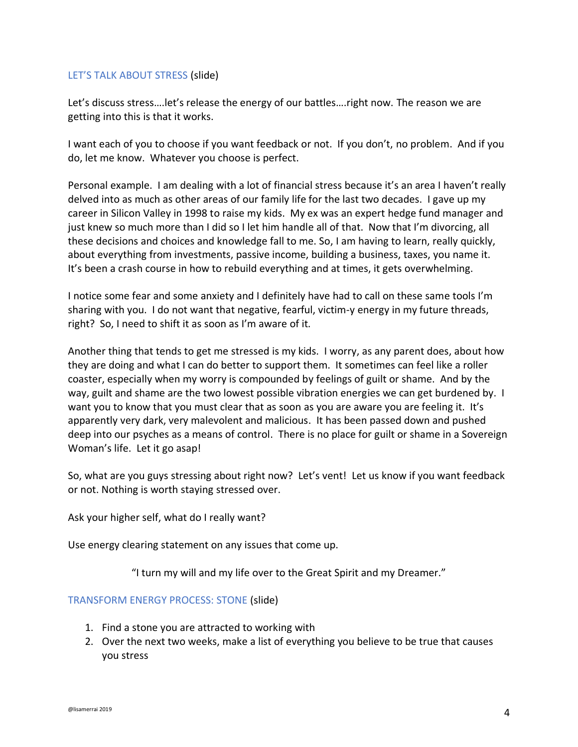## LET'S TALK ABOUT STRESS (slide)

Let's discuss stress….let's release the energy of our battles….right now. The reason we are getting into this is that it works.

I want each of you to choose if you want feedback or not. If you don't, no problem. And if you do, let me know. Whatever you choose is perfect.

Personal example. I am dealing with a lot of financial stress because it's an area I haven't really delved into as much as other areas of our family life for the last two decades. I gave up my career in Silicon Valley in 1998 to raise my kids. My ex was an expert hedge fund manager and just knew so much more than I did so I let him handle all of that. Now that I'm divorcing, all these decisions and choices and knowledge fall to me. So, I am having to learn, really quickly, about everything from investments, passive income, building a business, taxes, you name it. It's been a crash course in how to rebuild everything and at times, it gets overwhelming.

I notice some fear and some anxiety and I definitely have had to call on these same tools I'm sharing with you. I do not want that negative, fearful, victim-y energy in my future threads, right? So, I need to shift it as soon as I'm aware of it.

Another thing that tends to get me stressed is my kids. I worry, as any parent does, about how they are doing and what I can do better to support them. It sometimes can feel like a roller coaster, especially when my worry is compounded by feelings of guilt or shame. And by the way, guilt and shame are the two lowest possible vibration energies we can get burdened by. I want you to know that you must clear that as soon as you are aware you are feeling it. It's apparently very dark, very malevolent and malicious. It has been passed down and pushed deep into our psyches as a means of control. There is no place for guilt or shame in a Sovereign Woman's life. Let it go asap!

So, what are you guys stressing about right now? Let's vent! Let us know if you want feedback or not. Nothing is worth staying stressed over.

Ask your higher self, what do I really want?

Use energy clearing statement on any issues that come up.

"I turn my will and my life over to the Great Spirit and my Dreamer."

#### TRANSFORM ENERGY PROCESS: STONE (slide)

- 1. Find a stone you are attracted to working with
- 2. Over the next two weeks, make a list of everything you believe to be true that causes you stress